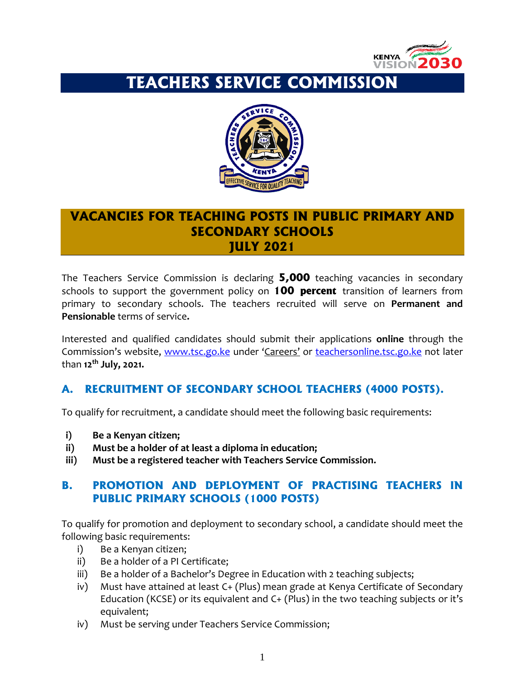

# **TEACHERS SERVICE COMMISSION**



# **VACANCIES FOR TEACHING POSTS IN PUBLIC PRIMARY AND SECONDARY SCHOOLS JULY 2021**

The Teachers Service Commission is declaring **5,000** teaching vacancies in secondary schools to support the government policy on **100 percent** transition of learners from primary to secondary schools. The teachers recruited will serve on **Permanent and Pensionable** terms of service**.**

Interested and qualified candidates should submit their applications **online** through the Commission's website, [www.tsc.go.ke](http://www.tsc.go.ke/) under 'Careers' or [teachersonline.tsc.go.ke](http://www.teacheronline@tsc.go.ke) not later than **12th July, 2021.**

## **A. RECRUITMENT OF SECONDARY SCHOOL TEACHERS (4000 POSTS).**

To qualify for recruitment, a candidate should meet the following basic requirements:

- **i) Be a Kenyan citizen;**
- **ii) Must be a holder of at least a diploma in education;**
- **iii) Must be a registered teacher with Teachers Service Commission.**

#### **B. PROMOTION AND DEPLOYMENT OF PRACTISING TEACHERS IN PUBLIC PRIMARY SCHOOLS (1000 POSTS)**

To qualify for promotion and deployment to secondary school, a candidate should meet the following basic requirements:

- i) Be a Kenyan citizen;
- ii) Be a holder of a PI Certificate;
- iii) Be a holder of a Bachelor's Degree in Education with 2 teaching subjects;
- iv) Must have attained at least C+ (Plus) mean grade at Kenya Certificate of Secondary Education (KCSE) or its equivalent and C+ (Plus) in the two teaching subjects or it's equivalent;
- iv) Must be serving under Teachers Service Commission;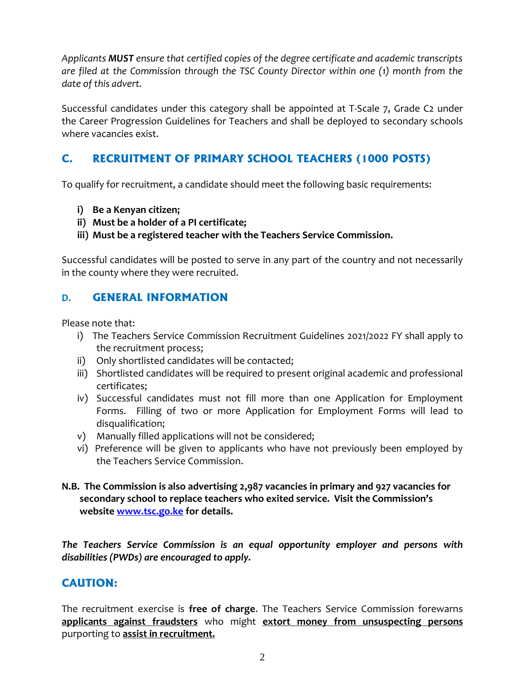*Applicants MUST ensure that certified copies of the degree certificate and academic transcripts are filed at the Commission through the TSC County Director within one (1) month from the date of this advert.*

Successful candidates under this category shall be appointed at T-Scale 7, Grade C2 under the Career Progression Guidelines for Teachers and shall be deployed to secondary schools where vacancies exist.

## **C. RECRUITMENT OF PRIMARY SCHOOL TEACHERS (1000 POSTS)**

To qualify for recruitment, a candidate should meet the following basic requirements:

- **i) Be a Kenyan citizen;**
- **ii) Must be a holder of a PI certificate;**
- **iii) Must be a registered teacher with the Teachers Service Commission.**

Successful candidates will be posted to serve in any part of the country and not necessarily in the county where they were recruited.

## **D. GENERAL INFORMATION**

Please note that:

- i) The Teachers Service Commission Recruitment Guidelines 2021/2022 FY shall apply to the recruitment process;
- ii) Only shortlisted candidates will be contacted;
- iii) Shortlisted candidates will be required to present original academic and professional certificates;
- iv) Successful candidates must not fill more than one Application for Employment Forms. Filling of two or more Application for Employment Forms will lead to disqualification;
- v) Manually filled applications will not be considered;
- vi) Preference will be given to applicants who have not previously been employed by the Teachers Service Commission.
- **N.B. The Commission is also advertising 2,987 vacancies in primary and 927 vacancies for secondary school to replace teachers who exited service. Visit the Commission's website [www.tsc.go.ke](http://www.tsc.go.ke/) for details.**

*The Teachers Service Commission is an equal opportunity employer and persons with disabilities (PWDs) are encouraged to apply.*

## **CAUTION:**

The recruitment exercise is **free of charge**. The Teachers Service Commission forewarns **applicants against fraudsters** who might **extort money from unsuspecting persons** purporting to **assist in recruitment.**